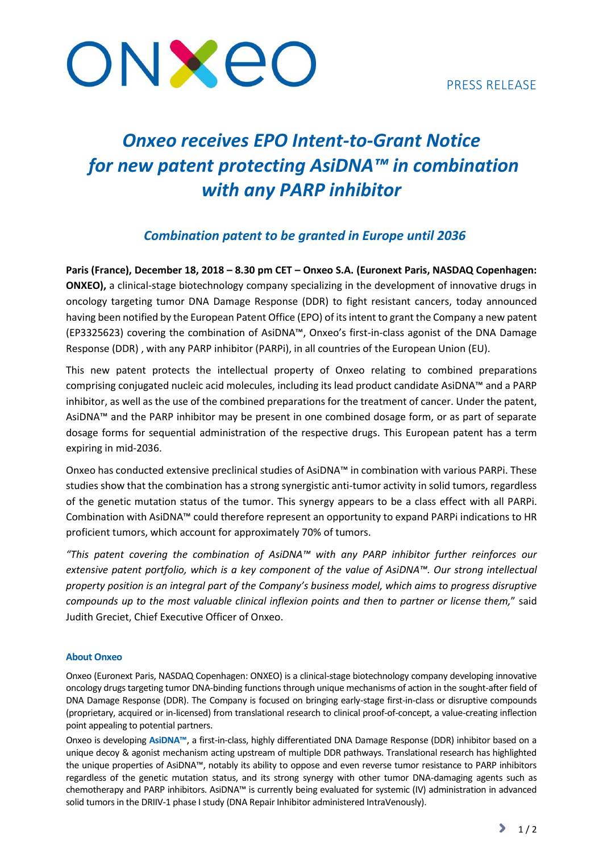## PRESS RELEASE



# *Onxeo receives EPO Intent-to-Grant Notice for new patent protecting AsiDNA™ in combination with any PARP inhibitor*

## *Combination patent to be granted in Europe until 2036*

**Paris (France), December 18, 2018 – 8.30 pm CET – Onxeo S.A. (Euronext Paris, NASDAQ Copenhagen: ONXEO),** a clinical-stage biotechnology company specializing in the development of innovative drugs in oncology targeting tumor DNA Damage Response (DDR) to fight resistant cancers, today announced having been notified by the European Patent Office (EPO) of its intent to grant the Company a new patent (EP3325623) covering the combination of AsiDNA™, Onxeo's first-in-class agonist of the DNA Damage Response (DDR) , with any PARP inhibitor (PARPi), in all countries of the European Union (EU).

This new patent protects the intellectual property of Onxeo relating to combined preparations comprising conjugated nucleic acid molecules, including its lead product candidate AsiDNA™ and a PARP inhibitor, as well as the use of the combined preparations for the treatment of cancer. Under the patent, AsiDNA™ and the PARP inhibitor may be present in one combined dosage form, or as part of separate dosage forms for sequential administration of the respective drugs. This European patent has a term expiring in mid-2036.

Onxeo has conducted extensive preclinical studies of AsiDNA™ in combination with various PARPi. These studies show that the combination has a strong synergistic anti-tumor activity in solid tumors, regardless of the genetic mutation status of the tumor. This synergy appears to be a class effect with all PARPi. Combination with AsiDNA™ could therefore represent an opportunity to expand PARPi indications to HR proficient tumors, which account for approximately 70% of tumors.

*"This patent covering the combination of AsiDNA™ with any PARP inhibitor further reinforces our extensive patent portfolio, which is a key component of the value of AsiDNA™. Our strong intellectual property position is an integral part of the Company's business model, which aims to progress disruptive compounds up to the most valuable clinical inflexion points and then to partner or license them,*" said Judith Greciet, Chief Executive Officer of Onxeo.

### **About Onxeo**

Onxeo (Euronext Paris, NASDAQ Copenhagen: ONXEO) is a clinical-stage biotechnology company developing innovative oncology drugs targeting tumor DNA-binding functions through unique mechanisms of action in the sought-after field of DNA Damage Response (DDR). The Company is focused on bringing early-stage first-in-class or disruptive compounds (proprietary, acquired or in-licensed) from translational research to clinical proof-of-concept, a value-creating inflection point appealing to potential partners.

Onxeo is developing **AsiDNA™**, a first-in-class, highly differentiated DNA Damage Response (DDR) inhibitor based on a unique decoy & agonist mechanism acting upstream of multiple DDR pathways. Translational research has highlighted the unique properties of AsiDNA™, notably its ability to oppose and even reverse tumor resistance to PARP inhibitors regardless of the genetic mutation status, and its strong synergy with other tumor DNA-damaging agents such as chemotherapy and PARP inhibitors. AsiDNA™ is currently being evaluated for systemic (IV) administration in advanced solid tumors in the DRIIV-1 phase I study (DNA Repair Inhibitor administered IntraVenously).